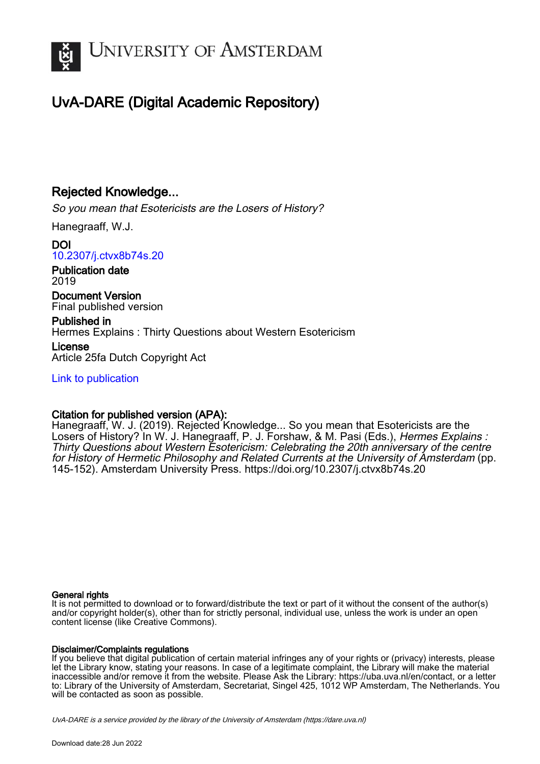

# UvA-DARE (Digital Academic Repository)

### Rejected Knowledge...

So you mean that Esotericists are the Losers of History?

Hanegraaff, W.J.

DOI [10.2307/j.ctvx8b74s.20](https://doi.org/10.2307/j.ctvx8b74s.20)

Publication date 2019

Document Version Final published version

Published in Hermes Explains : Thirty Questions about Western Esotericism

License Article 25fa Dutch Copyright Act

[Link to publication](https://dare.uva.nl/personal/pure/en/publications/rejected-knowledge(a2df7c90-c635-4b97-85c1-0332ff7505e7).html)

### Citation for published version (APA):

Hanegraaff, W. J. (2019). Rejected Knowledge... So you mean that Esotericists are the Losers of History? In W. J. Hanegraaff, P. J. Forshaw, & M. Pasi (Eds.), Hermes Explains : Thirty Questions about Western Esotericism: Celebrating the 20th anniversary of the centre for History of Hermetic Philosophy and Related Currents at the University of Amsterdam (pp. 145-152). Amsterdam University Press. <https://doi.org/10.2307/j.ctvx8b74s.20>

#### General rights

It is not permitted to download or to forward/distribute the text or part of it without the consent of the author(s) and/or copyright holder(s), other than for strictly personal, individual use, unless the work is under an open content license (like Creative Commons).

#### Disclaimer/Complaints regulations

If you believe that digital publication of certain material infringes any of your rights or (privacy) interests, please let the Library know, stating your reasons. In case of a legitimate complaint, the Library will make the material inaccessible and/or remove it from the website. Please Ask the Library: https://uba.uva.nl/en/contact, or a letter to: Library of the University of Amsterdam, Secretariat, Singel 425, 1012 WP Amsterdam, The Netherlands. You will be contacted as soon as possible.

UvA-DARE is a service provided by the library of the University of Amsterdam (http*s*://dare.uva.nl)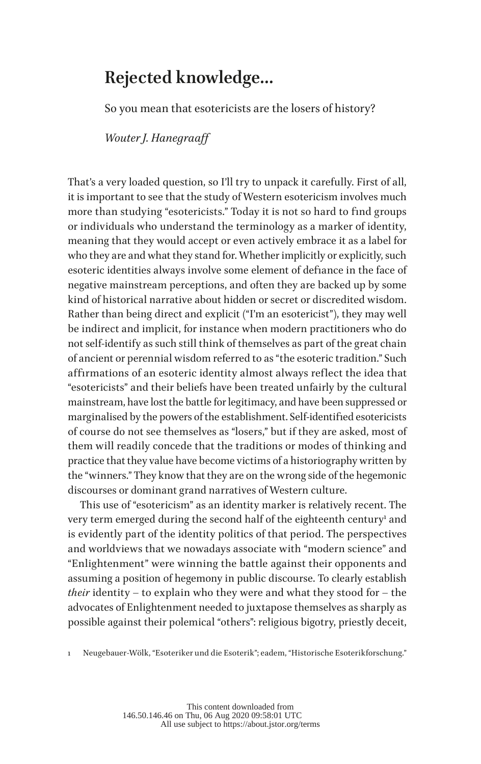## **Rejected knowledge…**

So you mean that esotericists are the losers of history?

*Wouter J. Hanegraaff*

That's a very loaded question, so I'll try to unpack it carefully. First of all, it is important to see that the study of Western esotericism involves much more than studying "esotericists." Today it is not so hard to find groups or individuals who understand the terminology as a marker of identity, meaning that they would accept or even actively embrace it as a label for who they are and what they stand for. Whether implicitly or explicitly, such esoteric identities always involve some element of defiance in the face of negative mainstream perceptions, and often they are backed up by some kind of historical narrative about hidden or secret or discredited wisdom. Rather than being direct and explicit ("I'm an esotericist"), they may well be indirect and implicit, for instance when modern practitioners who do not self-identify as such still think of themselves as part of the great chain of ancient or perennial wisdom referred to as "the esoteric tradition." Such affirmations of an esoteric identity almost always reflect the idea that "esotericists" and their beliefs have been treated unfairly by the cultural mainstream, have lost the battle for legitimacy, and have been suppressed or marginalised by the powers of the establishment. Self-identified esotericists of course do not see themselves as "losers," but if they are asked, most of them will readily concede that the traditions or modes of thinking and practice that they value have become victims of a historiography written by the "winners." They know that they are on the wrong side of the hegemonic discourses or dominant grand narratives of Western culture.

This use of "esotericism" as an identity marker is relatively recent. The very term emerged during the second half of the eighteenth century<sup>1</sup> and is evidently part of the identity politics of that period. The perspectives and worldviews that we nowadays associate with "modern science" and "Enlightenment" were winning the battle against their opponents and assuming a position of hegemony in public discourse. To clearly establish *their* identity – to explain who they were and what they stood for – the advocates of Enlightenment needed to juxtapose themselves as sharply as possible against their polemical "others": religious bigotry, priestly deceit,

1 Neugebauer-Wölk, "Esoteriker und die Esoterik"; eadem, "Historische Esoterikforschung."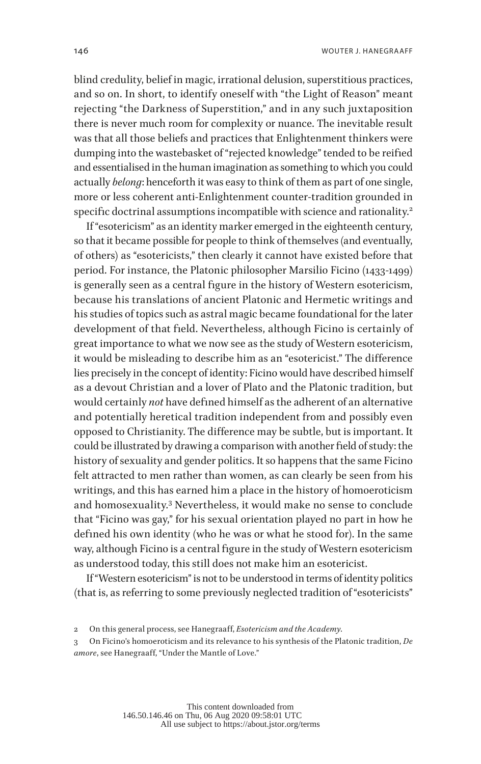blind credulity, belief in magic, irrational delusion, superstitious practices, and so on. In short, to identify oneself with "the Light of Reason" meant rejecting "the Darkness of Superstition," and in any such juxtaposition there is never much room for complexity or nuance. The inevitable result was that all those beliefs and practices that Enlightenment thinkers were dumping into the wastebasket of "rejected knowledge" tended to be reified and essentialised in the human imagination as something to which you could actually *belong*: henceforth it was easy to think of them as part of one single, more or less coherent anti-Enlightenment counter-tradition grounded in specific doctrinal assumptions incompatible with science and rationality.<sup>2</sup>

If "esotericism" as an identity marker emerged in the eighteenth century, so that it became possible for people to think of themselves (and eventually, of others) as "esotericists," then clearly it cannot have existed before that period. For instance, the Platonic philosopher Marsilio Ficino (1433-1499) is generally seen as a central figure in the history of Western esotericism, because his translations of ancient Platonic and Hermetic writings and his studies of topics such as astral magic became foundational for the later development of that field. Nevertheless, although Ficino is certainly of great importance to what we now see as the study of Western esotericism, it would be misleading to describe him as an "esotericist." The difference lies precisely in the concept of identity: Ficino would have described himself as a devout Christian and a lover of Plato and the Platonic tradition, but would certainly *not* have defined himself as the adherent of an alternative and potentially heretical tradition independent from and possibly even opposed to Christianity. The difference may be subtle, but is important. It could be illustrated by drawing a comparison with another field of study: the history of sexuality and gender politics. It so happens that the same Ficino felt attracted to men rather than women, as can clearly be seen from his writings, and this has earned him a place in the history of homoeroticism and homosexuality.<sup>3</sup> Nevertheless, it would make no sense to conclude that "Ficino was gay," for his sexual orientation played no part in how he defined his own identity (who he was or what he stood for). In the same way, although Ficino is a central figure in the study of Western esotericism as understood today, this still does not make him an esotericist.

If "Western esotericism" is not to be understood in terms of identity politics (that is, as referring to some previously neglected tradition of "esotericists"

<sup>2</sup> On this general process, see Hanegraaff, *Esotericism and the Academy*.

<sup>3</sup> On Ficino's homoeroticism and its relevance to his synthesis of the Platonic tradition, *De amore*, see Hanegraaff, "Under the Mantle of Love."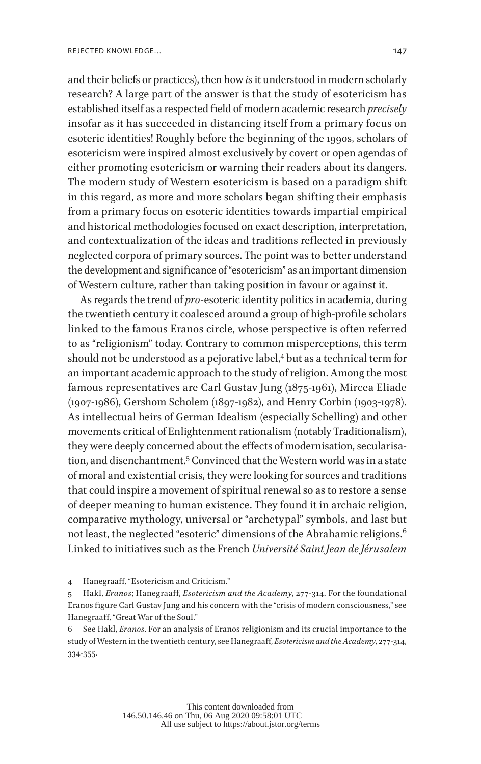and their beliefs or practices), then how *is* it understood in modern scholarly research? A large part of the answer is that the study of esotericism has established itself as a respected field of modern academic research *precisely* insofar as it has succeeded in distancing itself from a primary focus on esoteric identities! Roughly before the beginning of the 1990s, scholars of esotericism were inspired almost exclusively by covert or open agendas of either promoting esotericism or warning their readers about its dangers. The modern study of Western esotericism is based on a paradigm shift in this regard, as more and more scholars began shifting their emphasis from a primary focus on esoteric identities towards impartial empirical and historical methodologies focused on exact description, interpretation, and contextualization of the ideas and traditions reflected in previously neglected corpora of primary sources. The point was to better understand the development and significance of "esotericism" as an important dimension of Western culture, rather than taking position in favour or against it.

As regards the trend of *pro*-esoteric identity politics in academia, during the twentieth century it coalesced around a group of high-profile scholars linked to the famous Eranos circle, whose perspective is often referred to as "religionism" today. Contrary to common misperceptions, this term should not be understood as a pejorative label,<sup>4</sup> but as a technical term for an important academic approach to the study of religion. Among the most famous representatives are Carl Gustav Jung (1875-1961), Mircea Eliade (1907-1986), Gershom Scholem (1897-1982), and Henry Corbin (1903-1978). As intellectual heirs of German Idealism (especially Schelling) and other movements critical of Enlightenment rationalism (notably Traditionalism), they were deeply concerned about the effects of modernisation, secularisation, and disenchantment.5 Convinced that the Western world was in a state of moral and existential crisis, they were looking for sources and traditions that could inspire a movement of spiritual renewal so as to restore a sense of deeper meaning to human existence. They found it in archaic religion, comparative mythology, universal or "archetypal" symbols, and last but not least, the neglected "esoteric" dimensions of the Abrahamic religions.6 Linked to initiatives such as the French *Université Saint Jean de Jérusalem*

6 See Hakl, *Eranos*. For an analysis of Eranos religionism and its crucial importance to the study of Western in the twentieth century, see Hanegraaff, *Esotericism and the Academy*, 277-314, 334-355.

<sup>4</sup> Hanegraaff, "Esotericism and Criticism."

<sup>5</sup> Hakl, *Eranos*; Hanegraaff, *Esotericism and the Academy*, 277-314. For the foundational Eranos figure Carl Gustav Jung and his concern with the "crisis of modern consciousness," see Hanegraaff, "Great War of the Soul."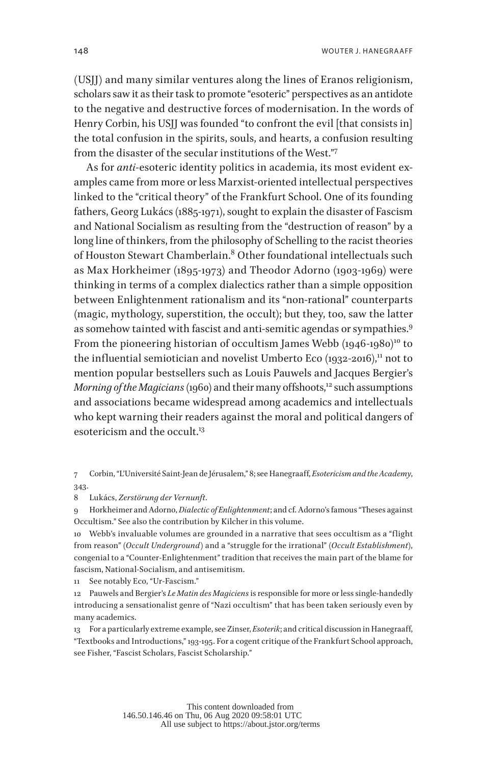(USJJ) and many similar ventures along the lines of Eranos religionism, scholars saw it as their task to promote "esoteric" perspectives as an antidote to the negative and destructive forces of modernisation. In the words of Henry Corbin, his USIJ was founded "to confront the evil [that consists in] the total confusion in the spirits, souls, and hearts, a confusion resulting from the disaster of the secular institutions of the West."<sup>7</sup>

As for *anti*-esoteric identity politics in academia, its most evident examples came from more or less Marxist-oriented intellectual perspectives linked to the "critical theory" of the Frankfurt School. One of its founding fathers, Georg Lukács (1885-1971), sought to explain the disaster of Fascism and National Socialism as resulting from the "destruction of reason" by a long line of thinkers, from the philosophy of Schelling to the racist theories of Houston Stewart Chamberlain.<sup>8</sup> Other foundational intellectuals such as Max Horkheimer (1895-1973) and Theodor Adorno (1903-1969) were thinking in terms of a complex dialectics rather than a simple opposition between Enlightenment rationalism and its "non-rational" counterparts (magic, mythology, superstition, the occult); but they, too, saw the latter as somehow tainted with fascist and anti-semitic agendas or sympathies.<sup>9</sup> From the pioneering historian of occultism James Webb (1946-1980)<sup>10</sup> to the influential semiotician and novelist Umberto Eco  $(1932-2016)$ ,<sup>11</sup> not to mention popular bestsellers such as Louis Pauwels and Jacques Bergier's *Morning of the Magicians* (1960) and their many offshoots,<sup>12</sup> such assumptions and associations became widespread among academics and intellectuals who kept warning their readers against the moral and political dangers of esotericism and the occult.<sup>13</sup>

7 Corbin, "L'Université Saint-Jean de Jérusalem," 8; see Hanegraaff, *Esotericism and the Academy*, 343.

8 Lukács, *Zerstörung der Vernunft*.

9 Horkheimer and Adorno, *Dialectic of Enlightenment*; and cf. Adorno's famous "Theses against Occultism." See also the contribution by Kilcher in this volume.

10 Webb's invaluable volumes are grounded in a narrative that sees occultism as a "flight from reason" (*Occult Underground*) and a "struggle for the irrational" (*Occult Establishment*), congenial to a "Counter-Enlightenment" tradition that receives the main part of the blame for fascism, National-Socialism, and antisemitism.

11 See notably Eco, "Ur-Fascism."

12 Pauwels and Bergier's *Le Matin des Magiciens* is responsible for more or less single-handedly introducing a sensationalist genre of "Nazi occultism" that has been taken seriously even by many academics.

13 For a particularly extreme example, see Zinser, *Esoterik*; and critical discussion in Hanegraaff, "Textbooks and Introductions," 193-195. For a cogent critique of the Frankfurt School approach, see Fisher, "Fascist Scholars, Fascist Scholarship."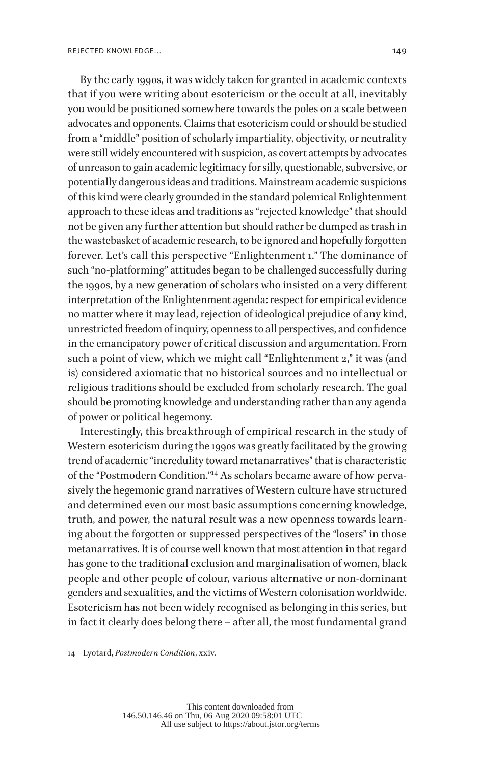By the early 1990s, it was widely taken for granted in academic contexts that if you were writing about esotericism or the occult at all, inevitably you would be positioned somewhere towards the poles on a scale between advocates and opponents. Claims that esotericism could or should be studied from a "middle" position of scholarly impartiality, objectivity, or neutrality were still widely encountered with suspicion, as covert attempts by advocates of unreason to gain academic legitimacy for silly, questionable, subversive, or potentially dangerous ideas and traditions. Mainstream academic suspicions of this kind were clearly grounded in the standard polemical Enlightenment approach to these ideas and traditions as "rejected knowledge" that should not be given any further attention but should rather be dumped as trash in the wastebasket of academic research, to be ignored and hopefully forgotten forever. Let's call this perspective "Enlightenment 1." The dominance of such "no-platforming" attitudes began to be challenged successfully during the 1990s, by a new generation of scholars who insisted on a very different interpretation of the Enlightenment agenda: respect for empirical evidence no matter where it may lead, rejection of ideological prejudice of any kind, unrestricted freedom of inquiry, openness to all perspectives, and confidence in the emancipatory power of critical discussion and argumentation. From such a point of view, which we might call "Enlightenment 2," it was (and is) considered axiomatic that no historical sources and no intellectual or religious traditions should be excluded from scholarly research. The goal should be promoting knowledge and understanding rather than any agenda of power or political hegemony.

Interestingly, this breakthrough of empirical research in the study of Western esotericism during the 1990s was greatly facilitated by the growing trend of academic "incredulity toward metanarratives" that is characteristic of the "Postmodern Condition."14 As scholars became aware of how pervasively the hegemonic grand narratives of Western culture have structured and determined even our most basic assumptions concerning knowledge, truth, and power, the natural result was a new openness towards learning about the forgotten or suppressed perspectives of the "losers" in those metanarratives. It is of course well known that most attention in that regard has gone to the traditional exclusion and marginalisation of women, black people and other people of colour, various alternative or non-dominant genders and sexualities, and the victims of Western colonisation worldwide. Esotericism has not been widely recognised as belonging in this series, but in fact it clearly does belong there – after all, the most fundamental grand

14 Lyotard, *Postmodern Condition*, xxiv.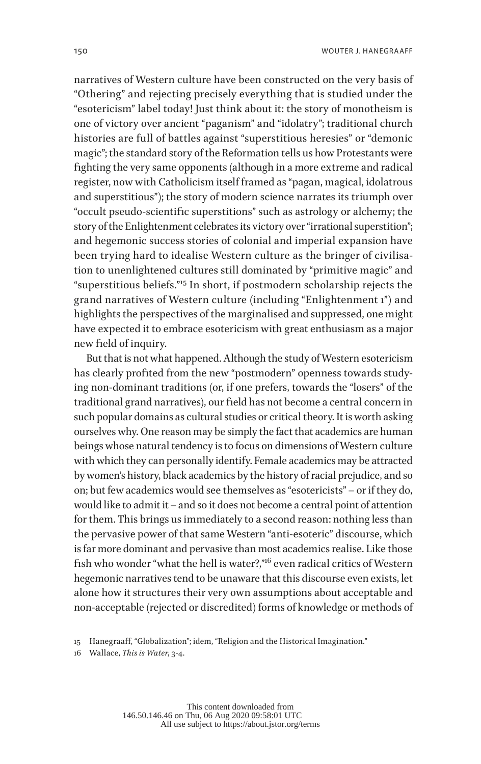narratives of Western culture have been constructed on the very basis of "Othering" and rejecting precisely everything that is studied under the "esotericism" label today! Just think about it: the story of monotheism is one of victory over ancient "paganism" and "idolatry"; traditional church histories are full of battles against "superstitious heresies" or "demonic magic"; the standard story of the Reformation tells us how Protestants were fighting the very same opponents (although in a more extreme and radical register, now with Catholicism itself framed as "pagan, magical, idolatrous and superstitious"); the story of modern science narrates its triumph over "occult pseudo-scientific superstitions" such as astrology or alchemy; the story of the Enlightenment celebrates its victory over "irrational superstition"; and hegemonic success stories of colonial and imperial expansion have been trying hard to idealise Western culture as the bringer of civilisation to unenlightened cultures still dominated by "primitive magic" and "superstitious beliefs."15 In short, if postmodern scholarship rejects the grand narratives of Western culture (including "Enlightenment 1") and highlights the perspectives of the marginalised and suppressed, one might have expected it to embrace esotericism with great enthusiasm as a major new field of inquiry.

But that is not what happened. Although the study of Western esotericism has clearly profited from the new "postmodern" openness towards studying non-dominant traditions (or, if one prefers, towards the "losers" of the traditional grand narratives), our field has not become a central concern in such popular domains as cultural studies or critical theory. It is worth asking ourselves why. One reason may be simply the fact that academics are human beings whose natural tendency is to focus on dimensions of Western culture with which they can personally identify. Female academics may be attracted by women's history, black academics by the history of racial prejudice, and so on; but few academics would see themselves as "esotericists" – or if they do, would like to admit it – and so it does not become a central point of attention for them. This brings us immediately to a second reason: nothing less than the pervasive power of that same Western "anti-esoteric" discourse, which is far more dominant and pervasive than most academics realise. Like those fish who wonder "what the hell is water?,"16 even radical critics of Western hegemonic narratives tend to be unaware that this discourse even exists, let alone how it structures their very own assumptions about acceptable and non-acceptable (rejected or discredited) forms of knowledge or methods of

<sup>15</sup> Hanegraaff, "Globalization"; idem, "Religion and the Historical Imagination."

<sup>16</sup> Wallace, *This is Water*, 3-4.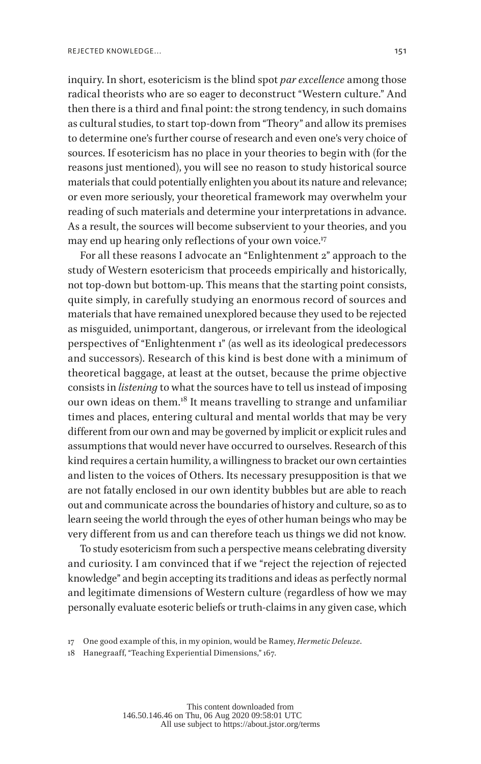inquiry. In short, esotericism is the blind spot *par excellence* among those radical theorists who are so eager to deconstruct "Western culture." And then there is a third and final point: the strong tendency, in such domains as cultural studies, to start top-down from "Theory" and allow its premises to determine one's further course of research and even one's very choice of sources. If esotericism has no place in your theories to begin with (for the reasons just mentioned), you will see no reason to study historical source materials that could potentially enlighten you about its nature and relevance; or even more seriously, your theoretical framework may overwhelm your reading of such materials and determine your interpretations in advance. As a result, the sources will become subservient to your theories, and you may end up hearing only reflections of your own voice.<sup>17</sup>

For all these reasons I advocate an "Enlightenment 2" approach to the study of Western esotericism that proceeds empirically and historically, not top-down but bottom-up. This means that the starting point consists, quite simply, in carefully studying an enormous record of sources and materials that have remained unexplored because they used to be rejected as misguided, unimportant, dangerous, or irrelevant from the ideological perspectives of "Enlightenment 1" (as well as its ideological predecessors and successors). Research of this kind is best done with a minimum of theoretical baggage, at least at the outset, because the prime objective consists in *listening* to what the sources have to tell us instead of imposing our own ideas on them.<sup>18</sup> It means travelling to strange and unfamiliar times and places, entering cultural and mental worlds that may be very different from our own and may be governed by implicit or explicit rules and assumptions that would never have occurred to ourselves. Research of this kind requires a certain humility, a willingness to bracket our own certainties and listen to the voices of Others. Its necessary presupposition is that we are not fatally enclosed in our own identity bubbles but are able to reach out and communicate across the boundaries of history and culture, so as to learn seeing the world through the eyes of other human beings who may be very different from us and can therefore teach us things we did not know.

To study esotericism from such a perspective means celebrating diversity and curiosity. I am convinced that if we "reject the rejection of rejected knowledge" and begin accepting its traditions and ideas as perfectly normal and legitimate dimensions of Western culture (regardless of how we may personally evaluate esoteric beliefs or truth-claims in any given case, which

<sup>17</sup> One good example of this, in my opinion, would be Ramey, *Hermetic Deleuze*.

<sup>18</sup> Hanegraaff, "Teaching Experiential Dimensions," 167.